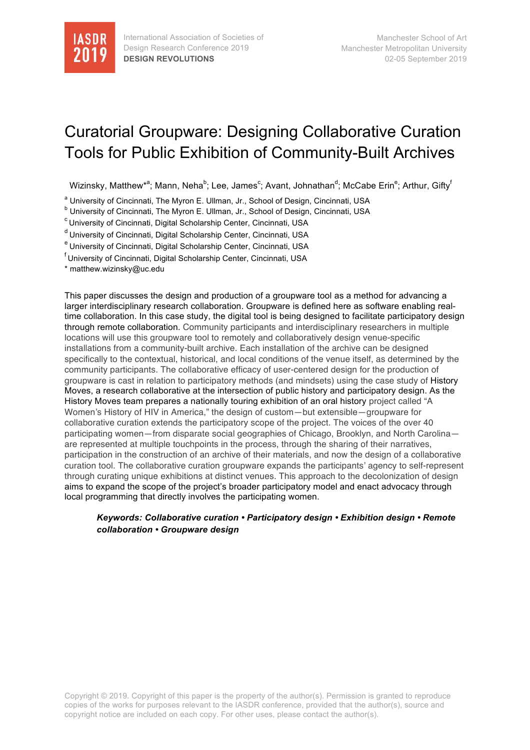

# Curatorial Groupware: Designing Collaborative Curation Tools for Public Exhibition of Community-Built Archives

Wizinsky, Matthew\*<sup>a</sup>; Mann, Neha<sup>b</sup>; Lee, James<sup>c</sup>; Avant, Johnathan<sup>d</sup>; McCabe Erin<sup>e</sup>; Arthur, Gifty<sup>f</sup>

<sup>a</sup> University of Cincinnati, The Myron E. Ullman, Jr., School of Design, Cincinnati, USA

b<br>b University of Cincinnati, The Myron E. Ullman, Jr., School of Design, Cincinnati, USA

c University of Cincinnati, Digital Scholarship Center, Cincinnati, USA

d University of Cincinnati, Digital Scholarship Center, Cincinnati, USA

<sup>e</sup> University of Cincinnati, Digital Scholarship Center, Cincinnati, USA

f University of Cincinnati, Digital Scholarship Center, Cincinnati, USA

\* matthew.wizinsky@uc.edu

This paper discusses the design and production of a groupware tool as a method for advancing a larger interdisciplinary research collaboration. Groupware is defined here as software enabling realtime collaboration. In this case study, the digital tool is being designed to facilitate participatory design through remote collaboration. Community participants and interdisciplinary researchers in multiple locations will use this groupware tool to remotely and collaboratively design venue-specific installations from a community-built archive. Each installation of the archive can be designed specifically to the contextual, historical, and local conditions of the venue itself, as determined by the community participants. The collaborative efficacy of user-centered design for the production of groupware is cast in relation to participatory methods (and mindsets) using the case study of History Moves, a research collaborative at the intersection of public history and participatory design. As the History Moves team prepares a nationally touring exhibition of an oral history project called "A Women's History of HIV in America," the design of custom—but extensible—groupware for collaborative curation extends the participatory scope of the project. The voices of the over 40 participating women—from disparate social geographies of Chicago, Brooklyn, and North Carolina are represented at multiple touchpoints in the process, through the sharing of their narratives, participation in the construction of an archive of their materials, and now the design of a collaborative curation tool. The collaborative curation groupware expands the participants' agency to self-represent through curating unique exhibitions at distinct venues. This approach to the decolonization of design aims to expand the scope of the project's broader participatory model and enact advocacy through local programming that directly involves the participating women.

#### *Keywords: Collaborative curation • Participatory design • Exhibition design • Remote collaboration • Groupware design*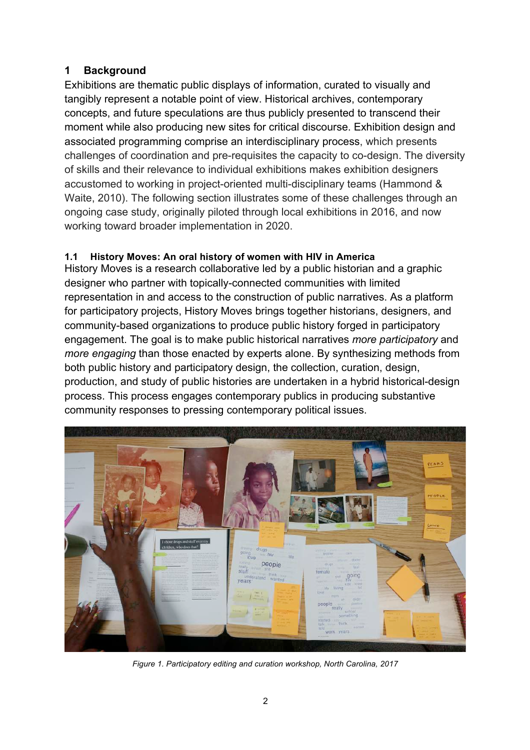# **1 Background**

Exhibitions are thematic public displays of information, curated to visually and tangibly represent a notable point of view. Historical archives, contemporary concepts, and future speculations are thus publicly presented to transcend their moment while also producing new sites for critical discourse. Exhibition design and associated programming comprise an interdisciplinary process, which presents challenges of coordination and pre-requisites the capacity to co-design. The diversity of skills and their relevance to individual exhibitions makes exhibition designers accustomed to working in project-oriented multi-disciplinary teams (Hammond & Waite, 2010). The following section illustrates some of these challenges through an ongoing case study, originally piloted through local exhibitions in 2016, and now working toward broader implementation in 2020.

# **1.1 History Moves: An oral history of women with HIV in America**

History Moves is a research collaborative led by a public historian and a graphic designer who partner with topically-connected communities with limited representation in and access to the construction of public narratives. As a platform for participatory projects, History Moves brings together historians, designers, and community-based organizations to produce public history forged in participatory engagement. The goal is to make public historical narratives *more participatory* and *more engaging* than those enacted by experts alone. By synthesizing methods from both public history and participatory design, the collection, curation, design, production, and study of public histories are undertaken in a hybrid historical-design process. This process engages contemporary publics in producing substantive community responses to pressing contemporary political issues.



*Figure 1. Participatory editing and curation workshop, North Carolina, 2017*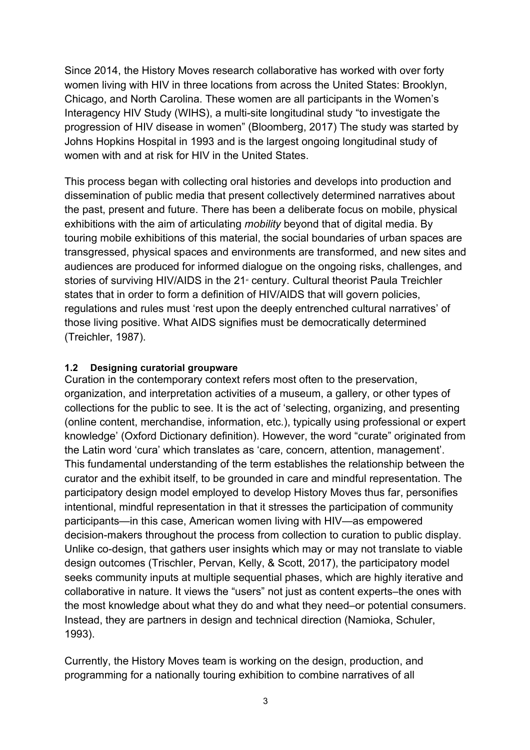Since 2014, the History Moves research collaborative has worked with over forty women living with HIV in three locations from across the United States: Brooklyn, Chicago, and North Carolina. These women are all participants in the Women's Interagency HIV Study (WIHS), a multi-site longitudinal study "to investigate the progression of HIV disease in women" (Bloomberg, 2017) The study was started by Johns Hopkins Hospital in 1993 and is the largest ongoing longitudinal study of women with and at risk for HIV in the United States.

This process began with collecting oral histories and develops into production and dissemination of public media that present collectively determined narratives about the past, present and future. There has been a deliberate focus on mobile, physical exhibitions with the aim of articulating *mobility* beyond that of digital media. By touring mobile exhibitions of this material, the social boundaries of urban spaces are transgressed, physical spaces and environments are transformed, and new sites and audiences are produced for informed dialogue on the ongoing risks, challenges, and stories of surviving HIV/AIDS in the 21<sup>®</sup> century. Cultural theorist Paula Treichler states that in order to form a definition of HIV/AIDS that will govern policies, regulations and rules must 'rest upon the deeply entrenched cultural narratives' of those living positive. What AIDS signifies must be democratically determined (Treichler, 1987).

#### **1.2 Designing curatorial groupware**

Curation in the contemporary context refers most often to the preservation, organization, and interpretation activities of a museum, a gallery, or other types of collections for the public to see. It is the act of 'selecting, organizing, and presenting (online content, merchandise, information, etc.), typically using professional or expert knowledge' (Oxford Dictionary definition). However, the word "curate" originated from the Latin word 'cura' which translates as 'care, concern, attention, management'. This fundamental understanding of the term establishes the relationship between the curator and the exhibit itself, to be grounded in care and mindful representation. The participatory design model employed to develop History Moves thus far, personifies intentional, mindful representation in that it stresses the participation of community participants—in this case, American women living with HIV—as empowered decision-makers throughout the process from collection to curation to public display. Unlike co-design, that gathers user insights which may or may not translate to viable design outcomes (Trischler, Pervan, Kelly, & Scott, 2017), the participatory model seeks community inputs at multiple sequential phases, which are highly iterative and collaborative in nature. It views the "users" not just as content experts–the ones with the most knowledge about what they do and what they need–or potential consumers. Instead, they are partners in design and technical direction (Namioka, Schuler, 1993).

Currently, the History Moves team is working on the design, production, and programming for a nationally touring exhibition to combine narratives of all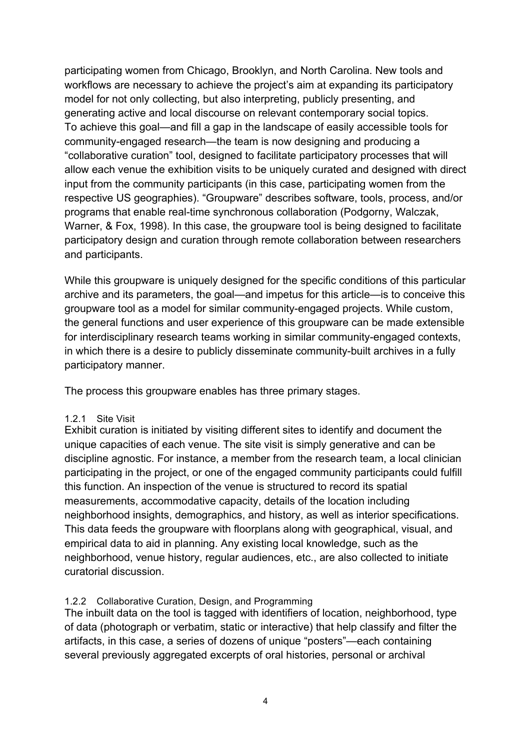participating women from Chicago, Brooklyn, and North Carolina. New tools and workflows are necessary to achieve the project's aim at expanding its participatory model for not only collecting, but also interpreting, publicly presenting, and generating active and local discourse on relevant contemporary social topics. To achieve this goal—and fill a gap in the landscape of easily accessible tools for community-engaged research—the team is now designing and producing a "collaborative curation" tool, designed to facilitate participatory processes that will allow each venue the exhibition visits to be uniquely curated and designed with direct input from the community participants (in this case, participating women from the respective US geographies). "Groupware" describes software, tools, process, and/or programs that enable real-time synchronous collaboration (Podgorny, Walczak, Warner, & Fox, 1998). In this case, the groupware tool is being designed to facilitate participatory design and curation through remote collaboration between researchers and participants.

While this groupware is uniquely designed for the specific conditions of this particular archive and its parameters, the goal—and impetus for this article—is to conceive this groupware tool as a model for similar community-engaged projects. While custom, the general functions and user experience of this groupware can be made extensible for interdisciplinary research teams working in similar community-engaged contexts, in which there is a desire to publicly disseminate community-built archives in a fully participatory manner.

The process this groupware enables has three primary stages.

#### 1.2.1 Site Visit

Exhibit curation is initiated by visiting different sites to identify and document the unique capacities of each venue. The site visit is simply generative and can be discipline agnostic. For instance, a member from the research team, a local clinician participating in the project, or one of the engaged community participants could fulfill this function. An inspection of the venue is structured to record its spatial measurements, accommodative capacity, details of the location including neighborhood insights, demographics, and history, as well as interior specifications. This data feeds the groupware with floorplans along with geographical, visual, and empirical data to aid in planning. Any existing local knowledge, such as the neighborhood, venue history, regular audiences, etc., are also collected to initiate curatorial discussion.

#### 1.2.2 Collaborative Curation, Design, and Programming

The inbuilt data on the tool is tagged with identifiers of location, neighborhood, type of data (photograph or verbatim, static or interactive) that help classify and filter the artifacts, in this case, a series of dozens of unique "posters"—each containing several previously aggregated excerpts of oral histories, personal or archival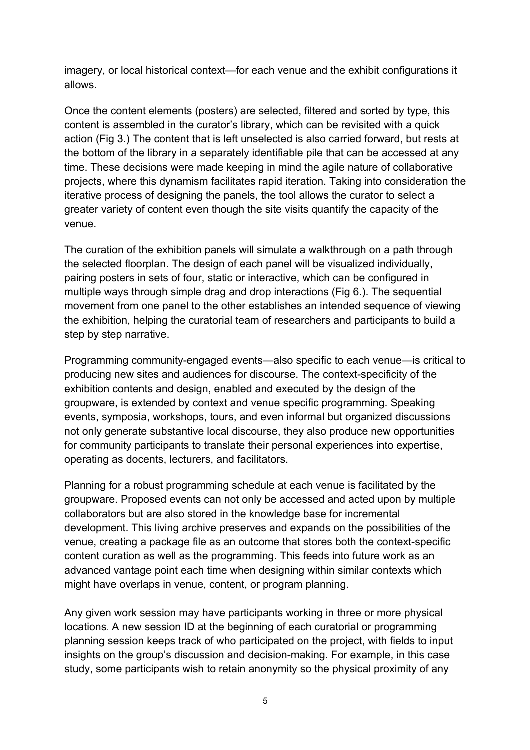imagery, or local historical context—for each venue and the exhibit configurations it allows.

Once the content elements (posters) are selected, filtered and sorted by type, this content is assembled in the curator's library, which can be revisited with a quick action (Fig 3.) The content that is left unselected is also carried forward, but rests at the bottom of the library in a separately identifiable pile that can be accessed at any time. These decisions were made keeping in mind the agile nature of collaborative projects, where this dynamism facilitates rapid iteration. Taking into consideration the iterative process of designing the panels, the tool allows the curator to select a greater variety of content even though the site visits quantify the capacity of the venue.

The curation of the exhibition panels will simulate a walkthrough on a path through the selected floorplan. The design of each panel will be visualized individually, pairing posters in sets of four, static or interactive, which can be configured in multiple ways through simple drag and drop interactions (Fig 6.). The sequential movement from one panel to the other establishes an intended sequence of viewing the exhibition, helping the curatorial team of researchers and participants to build a step by step narrative.

Programming community-engaged events—also specific to each venue—is critical to producing new sites and audiences for discourse. The context-specificity of the exhibition contents and design, enabled and executed by the design of the groupware, is extended by context and venue specific programming. Speaking events, symposia, workshops, tours, and even informal but organized discussions not only generate substantive local discourse, they also produce new opportunities for community participants to translate their personal experiences into expertise, operating as docents, lecturers, and facilitators.

Planning for a robust programming schedule at each venue is facilitated by the groupware. Proposed events can not only be accessed and acted upon by multiple collaborators but are also stored in the knowledge base for incremental development. This living archive preserves and expands on the possibilities of the venue, creating a package file as an outcome that stores both the context-specific content curation as well as the programming. This feeds into future work as an advanced vantage point each time when designing within similar contexts which might have overlaps in venue, content, or program planning.

Any given work session may have participants working in three or more physical locations. A new session ID at the beginning of each curatorial or programming planning session keeps track of who participated on the project, with fields to input insights on the group's discussion and decision-making. For example, in this case study, some participants wish to retain anonymity so the physical proximity of any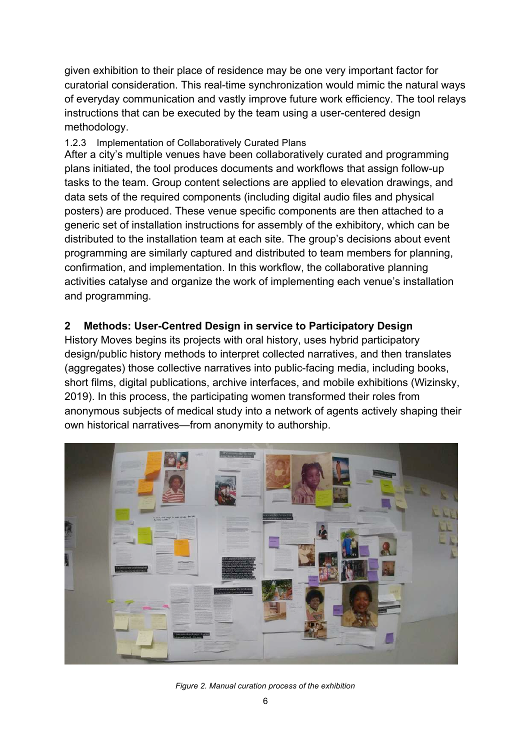given exhibition to their place of residence may be one very important factor for curatorial consideration. This real-time synchronization would mimic the natural ways of everyday communication and vastly improve future work efficiency. The tool relays instructions that can be executed by the team using a user-centered design methodology.

#### 1.2.3 Implementation of Collaboratively Curated Plans

After a city's multiple venues have been collaboratively curated and programming plans initiated, the tool produces documents and workflows that assign follow-up tasks to the team. Group content selections are applied to elevation drawings, and data sets of the required components (including digital audio files and physical posters) are produced. These venue specific components are then attached to a generic set of installation instructions for assembly of the exhibitory, which can be distributed to the installation team at each site. The group's decisions about event programming are similarly captured and distributed to team members for planning, confirmation, and implementation. In this workflow, the collaborative planning activities catalyse and organize the work of implementing each venue's installation and programming.

## **2 Methods: User-Centred Design in service to Participatory Design**

History Moves begins its projects with oral history, uses hybrid participatory design/public history methods to interpret collected narratives, and then translates (aggregates) those collective narratives into public-facing media, including books, short films, digital publications, archive interfaces, and mobile exhibitions (Wizinsky, 2019). In this process, the participating women transformed their roles from anonymous subjects of medical study into a network of agents actively shaping their own historical narratives—from anonymity to authorship.



*Figure 2. Manual curation process of the exhibition*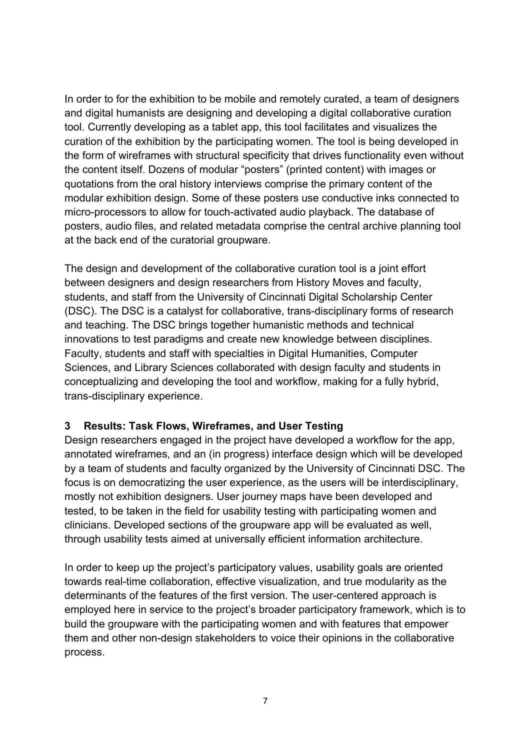In order to for the exhibition to be mobile and remotely curated, a team of designers and digital humanists are designing and developing a digital collaborative curation tool. Currently developing as a tablet app, this tool facilitates and visualizes the curation of the exhibition by the participating women. The tool is being developed in the form of wireframes with structural specificity that drives functionality even without the content itself. Dozens of modular "posters" (printed content) with images or quotations from the oral history interviews comprise the primary content of the modular exhibition design. Some of these posters use conductive inks connected to micro-processors to allow for touch-activated audio playback. The database of posters, audio files, and related metadata comprise the central archive planning tool at the back end of the curatorial groupware.

The design and development of the collaborative curation tool is a joint effort between designers and design researchers from History Moves and faculty, students, and staff from the University of Cincinnati Digital Scholarship Center (DSC). The DSC is a catalyst for collaborative, trans-disciplinary forms of research and teaching. The DSC brings together humanistic methods and technical innovations to test paradigms and create new knowledge between disciplines. Faculty, students and staff with specialties in Digital Humanities, Computer Sciences, and Library Sciences collaborated with design faculty and students in conceptualizing and developing the tool and workflow, making for a fully hybrid, trans-disciplinary experience.

## **3 Results: Task Flows, Wireframes, and User Testing**

Design researchers engaged in the project have developed a workflow for the app, annotated wireframes, and an (in progress) interface design which will be developed by a team of students and faculty organized by the University of Cincinnati DSC. The focus is on democratizing the user experience, as the users will be interdisciplinary, mostly not exhibition designers. User journey maps have been developed and tested, to be taken in the field for usability testing with participating women and clinicians. Developed sections of the groupware app will be evaluated as well, through usability tests aimed at universally efficient information architecture.

In order to keep up the project's participatory values, usability goals are oriented towards real-time collaboration, effective visualization, and true modularity as the determinants of the features of the first version. The user-centered approach is employed here in service to the project's broader participatory framework, which is to build the groupware with the participating women and with features that empower them and other non-design stakeholders to voice their opinions in the collaborative process.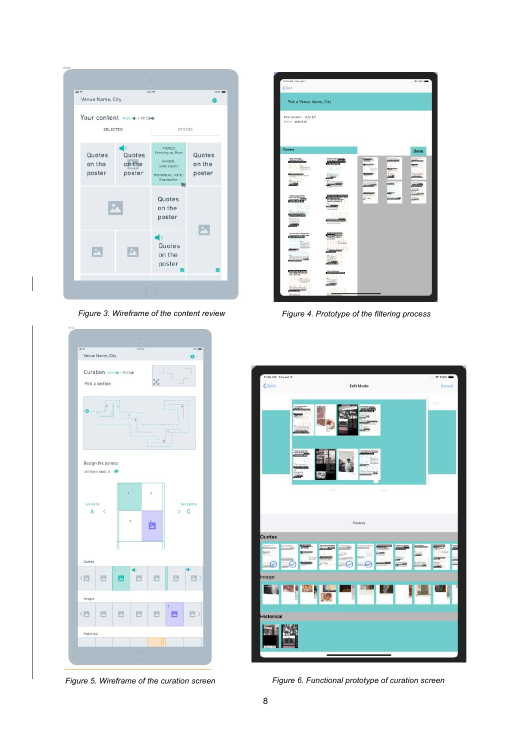| Venue Name, City                                         |                                                                                            |                            |
|----------------------------------------------------------|--------------------------------------------------------------------------------------------|----------------------------|
| Your content 45.23 40 / 17,1340<br>SELECTED              | <b>DTHERS</b>                                                                              |                            |
| Quotes<br>Quotes<br>on the<br>on the<br>poster<br>poster | THEMES:<br>Dressing up, Race<br>N'HOOD.<br>Cook County<br>HISTORICAL TOPIC:<br>Segregation | Quotes<br>on the<br>poster |
|                                                          | Quotes<br>on the<br>poster                                                                 |                            |
|                                                          | Quotes<br>on the<br>poster                                                                 | M.                         |



| 10:02 AM Thu Jul 11<br>60 <sub>0</sub>     |                   |       |                | $9.100\%$   |
|--------------------------------------------|-------------------|-------|----------------|-------------|
|                                            |                   |       |                |             |
| Pick a Venue Name, City                    |                   |       |                |             |
| Pick content: 0,0/0,0<br>Eutran select all |                   |       |                |             |
| Quotes                                     |                   |       |                | <b>Done</b> |
|                                            |                   |       | <b>Alberta</b> |             |
|                                            |                   |       |                |             |
|                                            |                   |       |                |             |
|                                            |                   |       |                |             |
|                                            |                   | n (i) |                |             |
|                                            |                   |       |                |             |
|                                            |                   |       |                |             |
|                                            |                   |       |                |             |
|                                            |                   |       |                |             |
|                                            |                   |       |                |             |
| <b><i><u>AANNA</u></i></b>                 |                   |       |                |             |
|                                            | <b>HISTORICAL</b> |       |                |             |
|                                            |                   |       |                |             |
|                                            | D                 |       |                |             |
|                                            |                   |       |                |             |

*Figure 3. Wireframe of the content review Figure 4. Prototype of the filtering process*



*Figure 5. Wireframe of the curation screen Figure 6. Functional prototype of curation screen*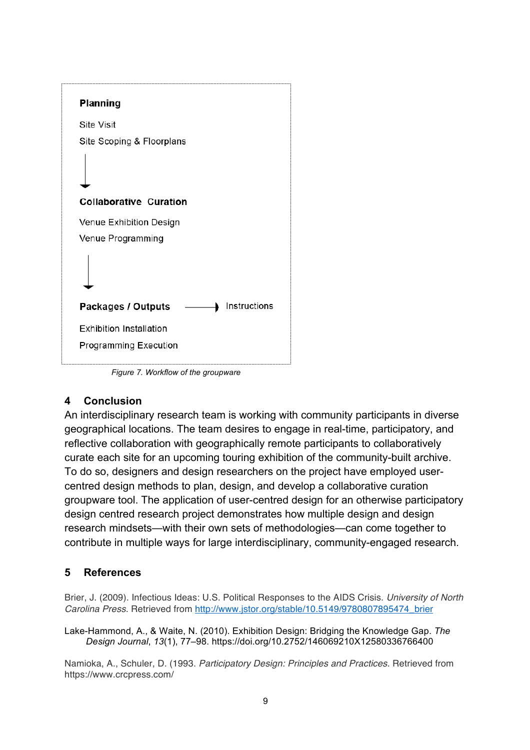

*Figure 7. Workflow of the groupware*

## **4 Conclusion**

An interdisciplinary research team is working with community participants in diverse geographical locations. The team desires to engage in real-time, participatory, and reflective collaboration with geographically remote participants to collaboratively curate each site for an upcoming touring exhibition of the community-built archive. To do so, designers and design researchers on the project have employed usercentred design methods to plan, design, and develop a collaborative curation groupware tool. The application of user-centred design for an otherwise participatory design centred research project demonstrates how multiple design and design research mindsets—with their own sets of methodologies—can come together to contribute in multiple ways for large interdisciplinary, community-engaged research.

## **5 References**

Brier, J. (2009). Infectious Ideas: U.S. Political Responses to the AIDS Crisis. *University of North Carolina Press*. Retrieved from http://www.jstor.org/stable/10.5149/9780807895474\_brier

Lake-Hammond, A., & Waite, N. (2010). Exhibition Design: Bridging the Knowledge Gap. *The Design Journal*, *13*(1), 77–98. https://doi.org/10.2752/146069210X12580336766400

Namioka, A., Schuler, D. (1993. *Participatory Design: Principles and Practices.* Retrieved from https://www.crcpress.com/